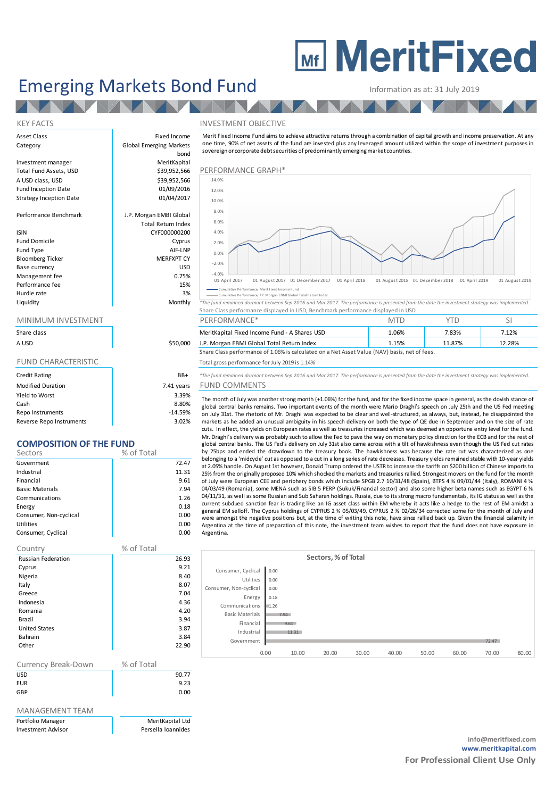# **MEDITY MeritFixed**

## Emerging Markets Bond Fund Information as at: 31 July 2019

bond

## KEY FACTS THE SERVICE OF THE SERVICE OF THE SERVICE OF THE SERVICE OF THE SERVICE OF THE SERVICE OF THE SERVICE OF THE SERVICE OF THE SERVICE OF THE SERVICE OF THE SERVICE OF THE SERVICE OF THE SERVICE OF THE SERVICE OF TH

Information as at: 31 July 2019<br>
NVESTMENT OBJECTIVE<br>
Merit Fixed Income Fund aims to achieve attractive returns through a combination of capital growth and income preservation. At any<br>
one time, 90% of net assets of the f sovereign or corporate debt securities of predominantly emerging market countries.



Liquidity Monthly <sup>\*</sup>The fund remained dormant between Sep 2016 and Mar 2017. The performance is presented from the date the investment strategy was implemented. Share Class performance displayed in USD, Benchmark performance displayed in USD

| Share class |          | <b>Shares USD</b><br>MeritKapital Fixed Income Fund - A ' | 1.06% | 7.83%  | <b>1430.</b> |
|-------------|----------|-----------------------------------------------------------|-------|--------|--------------|
| a usd       | \$50,000 | J.P. Morgan EBMI Global Total Return Index                | 1.15% | 11.87% | 12.28%       |

Share Class performance of 1.06% is calculated on a Net Asset Value (NAV) basis, net of fees.

### FUND CHARACTERISTIC TOTAL Total gross performance for July 2019 is 1.14%

Credit Rating BB+ *\*The fund remained dormant between Sep 2016 and Mar 2017. The performance is presented from the date the investment strategy was implemented.*

## Irs FUND COMMENTS

The month of July 2019 is 1.15% and Metalling the month of July 2019 is 1.18% and Net Asset Value (NAV) basis, net of fees.<br>The fund gross performance for July 2019 is 1.14%<br>The fund remained domant between Sep 2016 and Ma global central banks remains. Two important events of the month were Mario Draghi's speech on July 25th and the US Fed meeting on July 31st. The rhetoric of Mr. Draghi was expected to be clear and well-structured, as always, but, instead, he disappointed the The fund remained domain between Sep 2015 is 1.14%<br>The fund remained domain between Sep 2016 and Mar 2017. The performance is presented from the date the investment strategy was implemented.<br>
The month of July was another cuts. In effect, the yields on European rates as well as treasuries increased which was deemed an opportune entry level for the fund. Mr. Draghi's delivery was probably such to allow the Fed to pave the way on monetary policy direction for the ECB and for the rest of global central banks. The US Fed's delivery on July 31st also came across with a tilt of hawkishness even though the US Fed cut rates by 25bps and ended the drawdown to the treasury book. The hawkishness was because the rate cut was characterized as one The month of sure of the cut as opposed to a cut in a long series of rate increases. Treasurable in general, as the downstration of the US Fed meeting<br>global central banks remains. Two important events of the month were Ma at 2.05% handle. On August 1st however, Donald Trump ordered the USTR to increase the tariffs on \$200 billion of Chinese imports to 25% from the originally proposed 10% which shocked the markets and treasuries rallied. Strongest movers on the fund for the month of July were European CEE and periphery bonds which include SPGB 2.7 10/31/48 (Spain), BTPS markets as ne adue an unusua amugulary min si specto tenerate that the the per one in september and on the size of rate. The fect, the yields on European rates as well as treasuries increased which was deemed an opportune 04/03/49 (Romania), some MENA such as SIB 5 PERP (Sukuk/Financial sector) and also some higher beta names such as EGYPT 6 % 04/11/31, as well as some Russian and Sub Saharan holdings. Russia, due to its strong macro funda Argentina.

|                        |      |       | Sectors, % of Total |       |       |       |       |       |       |
|------------------------|------|-------|---------------------|-------|-------|-------|-------|-------|-------|
| Consumer, Cyclical     | 0.00 |       |                     |       |       |       |       |       |       |
| Utilities              | 0.00 |       |                     |       |       |       |       |       |       |
| Consumer, Non-cyclical | 0.00 |       |                     |       |       |       |       |       |       |
| Energy                 | 0.18 |       |                     |       |       |       |       |       |       |
| Communications         | 1.26 |       |                     |       |       |       |       |       |       |
| <b>Basic Materials</b> |      | 7.94  |                     |       |       |       |       |       |       |
| Financial              |      | 9.61  |                     |       |       |       |       |       |       |
| Industrial             |      | 11.31 |                     |       |       |       |       |       |       |
| Government             |      |       |                     |       |       |       |       | 72.47 |       |
|                        | 0.00 | 10.00 | 20.00               | 30.00 | 40.00 | 50.00 | 60.00 | 70.00 | 80.00 |
|                        |      |       |                     |       |       |       |       |       |       |

## Asset Class **Fixed Income** Category **Global Emerging Markets** Investment manager MeritKapital Total Fund Assets, USD \$39,952,566 PERFORMANCE GRAPH<br>A USD class, USD \$39,952,566 \$49,952,566 \$4.0% A USD class, USD \$39,952,566 Performance Graph Fund Inception Date Strategy Inception Date 101/04/2017 Performance Benchmark J.P. Morgan EMBI Global ISIN CYF000000200 Fund Domicile **Cyprus** Fund Type AIF-LNP Bloomberg Ticker Base currency USD

| Total Fund Assets, USD         | \$39,952,566              |
|--------------------------------|---------------------------|
| A USD class, USD               | \$39,952,566              |
| <b>Fund Inception Date</b>     | 01/09/2016                |
| <b>Strategy Inception Date</b> | 01/04/2017                |
| Performance Benchmark          | J.P. Morgan EMBI Global   |
|                                | <b>Total Return Index</b> |
| <b>ISIN</b>                    | CYF000000200              |
| <b>Fund Domicile</b>           | Cyprus                    |
| <b>Fund Type</b>               | AIF-LNP                   |
| <b>Bloomberg Ticker</b>        | <b>MERFXPT CY</b>         |
| Base currency                  | USD                       |
| Management fee                 | 0.75%                     |
| Performance fee                | 15%                       |
| Hurdle rate                    | 3%                        |
|                                |                           |

| Share class |  |
|-------------|--|
| A USD       |  |

| <b>Credit Rating</b>     | $BB+$      |
|--------------------------|------------|
| <b>Modified Duration</b> | 7.41 years |
| Yield to Worst           | 3.39%      |
| Cash                     | 8.80%      |
| Repo Instruments         | $-14.59%$  |
| Reverse Repo Instruments | 3.02%      |

## **COMPOSITION OF THE FUND**

| Sectors                | % of Total |
|------------------------|------------|
| Government             | 72.47      |
| Industrial             | 11.31      |
| Financial              | 9.61       |
| <b>Basic Materials</b> | 7.94       |
| Communications         | 1.26       |
| Energy                 | 0.18       |
| Consumer, Non-cyclical | 0.00       |
| <b>Utilities</b>       | 0.00       |
| Consumer, Cyclical     | 0.00       |

| Country                   | % of Total |
|---------------------------|------------|
| <b>Russian Federation</b> | 26.93      |
| Cyprus                    | 9.21       |
| Nigeria                   | 8.40       |
| Italy                     | 8.07       |
| Greece                    | 7.04       |
| Indonesia                 | 4.36       |
| Romania                   | 4.20       |
| Brazil                    | 3.94       |
| <b>United States</b>      | 3.87       |
| <b>Bahrain</b>            | 3.84       |
| Other                     | 22.90      |
|                           |            |

| Currency Break-Down | % of Total |       |
|---------------------|------------|-------|
| <b>USD</b>          |            | 90.77 |
| <b>EUR</b>          |            | 9.23  |
| GBP                 |            | 0.00  |
|                     |            |       |

#### MANAGEMENT TEAM

Portfolio Manager **MeritKapital Ltd** Investment Advisor **Persella Ioannides**